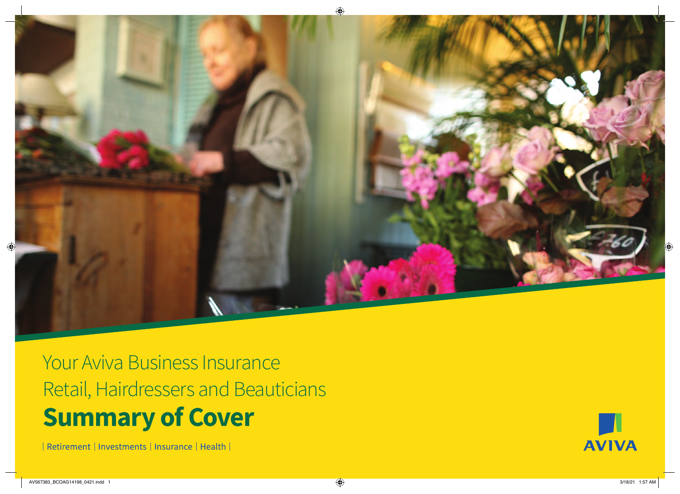

Your Aviva Business Insurance Retail, Hairdressers and Beauticians **Summary of Cover**

| Retirement | Investments | Insurance | Health |

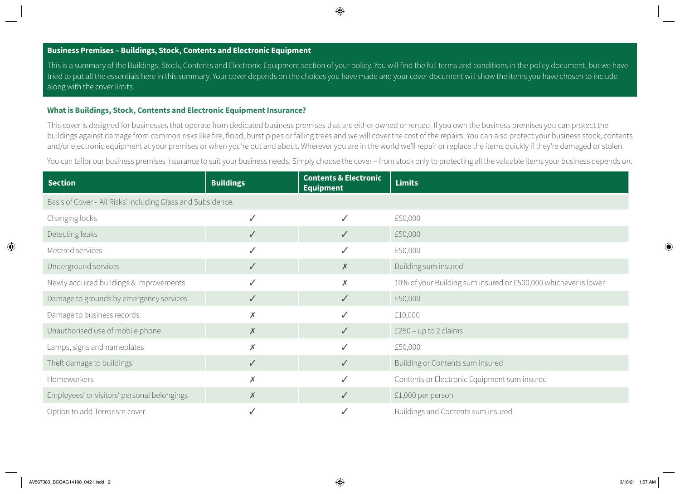## **Business Premises – Buildings, Stock, Contents and Electronic Equipment**

This is a summary of the Buildings, Stock, Contents and Electronic Equipment section of your policy. You will find the full terms and conditions in the policy document, but we have tried to put all the essentials here in this summary. Your cover depends on the choices you have made and your cover document will show the items you have chosen to include along with the cover limits.

#### **What is Buildings, Stock, Contents and Electronic Equipment Insurance?**

This cover is designed for businesses that operate from dedicated business premises that are either owned or rented. If you own the business premises you can protect the buildings against damage from common risks like fire, flood, burst pipes or falling trees and we will cover the cost of the repairs. You can also protect your business stock, contents and/or electronic equipment at your premises or when you're out and about. Wherever you are in the world we'll repair or replace the items quickly if they're damaged or stolen.

You can tailor our business premises insurance to suit your business needs. Simply choose the cover – from stock only to protecting all the valuable items your business depends on.

| <b>Section</b>                                               | <b>Buildings</b> | <b>Contents &amp; Electronic</b><br><b>Equipment</b> | <b>Limits</b>                                                   |
|--------------------------------------------------------------|------------------|------------------------------------------------------|-----------------------------------------------------------------|
| Basis of Cover - 'All Risks' including Glass and Subsidence. |                  |                                                      |                                                                 |
| Changing locks                                               | ✓                | ✓                                                    | £50,000                                                         |
| Detecting leaks                                              | $\checkmark$     | $\checkmark$                                         | £50,000                                                         |
| Metered services                                             | ✓                |                                                      | £50,000                                                         |
| Underground services                                         | $\checkmark$     | $\times$                                             | Building sum insured                                            |
| Newly acquired buildings & improvements                      | ✓                | X                                                    | 10% of your Building sum insured or £500,000 whichever is lower |
| Damage to grounds by emergency services                      | $\checkmark$     | $\checkmark$                                         | £50,000                                                         |
| Damage to business records                                   | X                | ✓                                                    | £10,000                                                         |
| Unauthorised use of mobile phone                             | $\times$         | $\checkmark$                                         | $£250 - up to 2 claims$                                         |
| Lamps, signs and nameplates                                  | $\times$         |                                                      | £50,000                                                         |
| Theft damage to buildings                                    | $\checkmark$     | $\checkmark$                                         | Building or Contents sum insured                                |
| Homeworkers                                                  | $\times$         | $\checkmark$                                         | Contents or Electronic Equipment sum insured                    |
| Employees' or visitors' personal belongings                  | $\pmb{\times}$   | $\checkmark$                                         | £1,000 per person                                               |
| Option to add Terrorism cover                                |                  |                                                      | Buildings and Contents sum insured                              |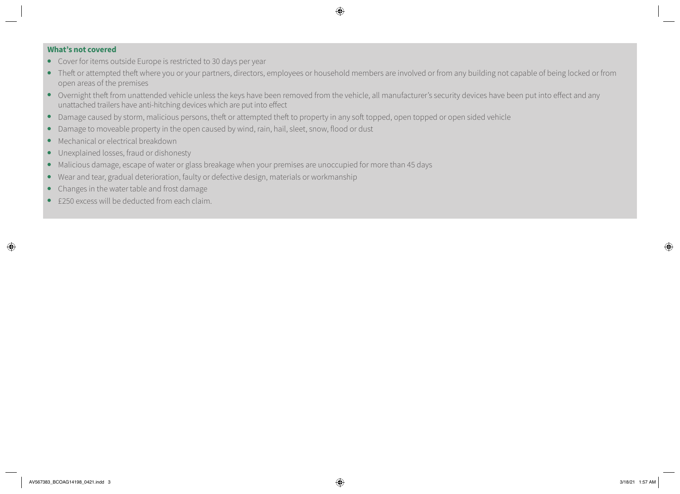- Cover for items outside Europe is restricted to 30 days per year
- Theft or attempted theft where you or your partners, directors, employees or household members are involved or from any building not capable of being locked or from open areas of the premises
- Overnight theft from unattended vehicle unless the keys have been removed from the vehicle, all manufacturer's security devices have been put into effect and any unattached trailers have anti-hitching devices which are put into effect
- Damage caused by storm, malicious persons, theft or attempted theft to property in any soft topped, open topped or open sided vehicle
- Damage to moveable property in the open caused by wind, rain, hail, sleet, snow, flood or dust
- Mechanical or electrical breakdown
- Unexplained losses, fraud or dishonesty
- Malicious damage, escape of water or glass breakage when your premises are unoccupied for more than 45 days
- Wear and tear, gradual deterioration, faulty or defective design, materials or workmanship
- Changes in the water table and frost damage
- £250 excess will be deducted from each claim.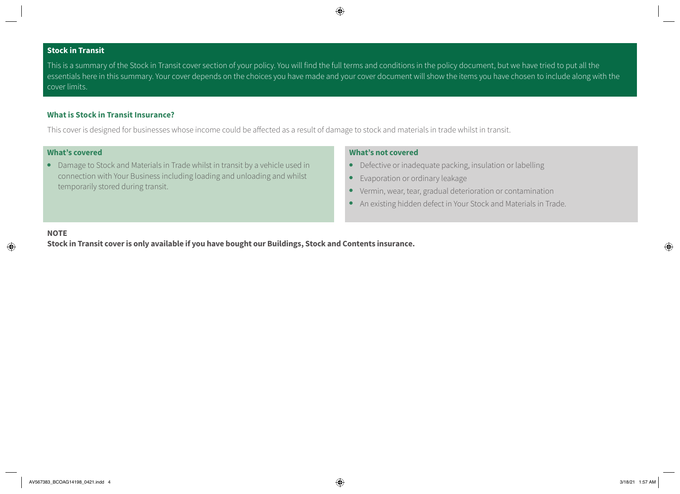# **Stock in Transit**

This is a summary of the Stock in Transit cover section of your policy. You will find the full terms and conditions in the policy document, but we have tried to put all the essentials here in this summary. Your cover depends on the choices you have made and your cover document will show the items you have chosen to include along with the cover limits.

## **What is Stock in Transit Insurance?**

This cover is designed for businesses whose income could be affected as a result of damage to stock and materials in trade whilst in transit.

# **What's covered**

● Damage to Stock and Materials in Trade whilst in transit by a vehicle used in connection with Your Business including loading and unloading and whilst temporarily stored during transit.

### **What's not covered**

- Defective or inadequate packing, insulation or labelling
- Evaporation or ordinary leakage
- Vermin, wear, tear, gradual deterioration or contamination
- An existing hidden defect in Your Stock and Materials in Trade.

## **NOTE**

**Stock in Transit cover is only available if you have bought our Buildings, Stock and Contents insurance.**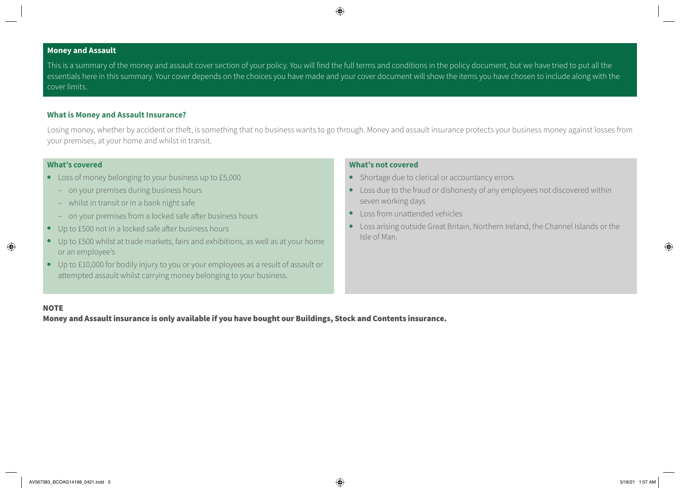## **Money and Assault**

This is a summary of the money and assault cover section of your policy. You will find the full terms and conditions in the policy document, but we have tried to put all the essentials here in this summary. Your cover depends on the choices you have made and your cover document will show the items you have chosen to include along with the cover limits.

#### **What is Money and Assault Insurance?**

Losing money, whether by accident or theft, is something that no business wants to go through. Money and assault insurance protects your business money against losses from your premises, at your home and whilst in transit.

#### **What's covered**

- Loss of money belonging to your business up to £5,000
	- on your premises during business hours
	- whilst in transit or in a bank night safe
	- on your premises from a locked safe after business hours
- Up to £500 not in a locked safe after business hours
- Up to £500 whilst at trade markets, fairs and exhibitions, as well as at your home or an employee's
- Up to £10,000 for bodily injury to you or your employees as a result of assault or attempted assault whilst carrying money belonging to your business.

#### **What's not covered**

- Shortage due to clerical or accountancy errors
- Loss due to the fraud or dishonesty of any employees not discovered within seven working days
- Loss from unattended vehicles
- Loss arising outside Great Britain, Northern Ireland, the Channel Islands or the Isle of Man.

#### **NOTE**

Money and Assault insurance is only available if you have bought our Buildings, Stock and Contents insurance.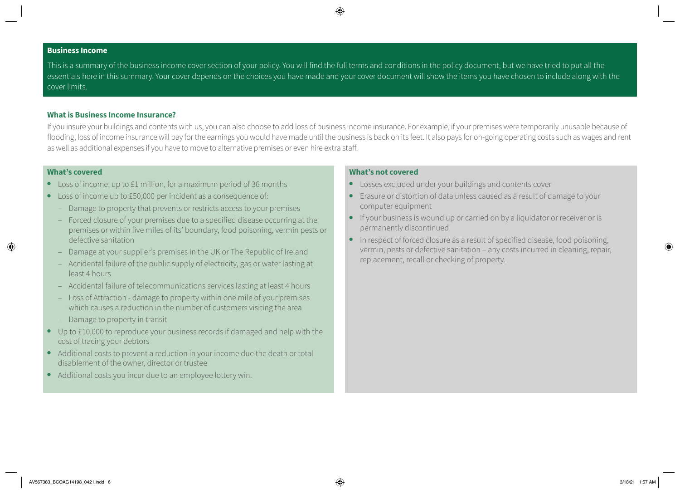#### **Business Income**

This is a summary of the business income cover section of your policy. You will find the full terms and conditions in the policy document, but we have tried to put all the essentials here in this summary. Your cover depends on the choices you have made and your cover document will show the items you have chosen to include along with the cover limits.

## **What is Business Income Insurance?**

If you insure your buildings and contents with us, you can also choose to add loss of business income insurance. For example, if your premises were temporarily unusable because of flooding, loss of income insurance will pay for the earnings you would have made until the business is back on its feet. It also pays for on-going operating costs such as wages and rent as well as additional expenses if you have to move to alternative premises or even hire extra staff.

#### **What's covered**

- Loss of income, up to £1 million, for a maximum period of 36 months
- Loss of income up to £50,000 per incident as a consequence of:
	- Damage to property that prevents or restricts access to your premises
	- Forced closure of your premises due to a specified disease occurring at the premises or within five miles of its' boundary, food poisoning, vermin pests or defective sanitation
	- Damage at your supplier's premises in the UK or The Republic of Ireland
	- Accidental failure of the public supply of electricity, gas or water lasting at least 4 hours
	- Accidental failure of telecommunications services lasting at least 4 hours
	- Loss of Attraction damage to property within one mile of your premises which causes a reduction in the number of customers visiting the area
	- Damage to property in transit
- Up to £10,000 to reproduce your business records if damaged and help with the cost of tracing your debtors
- Additional costs to prevent a reduction in your income due the death or total disablement of the owner, director or trustee
- Additional costs you incur due to an employee lottery win.

- Losses excluded under your buildings and contents cover
- Erasure or distortion of data unless caused as a result of damage to your computer equipment
- If your business is wound up or carried on by a liquidator or receiver or is permanently discontinued
- In respect of forced closure as a result of specified disease, food poisoning, vermin, pests or defective sanitation – any costs incurred in cleaning, repair, replacement, recall or checking of property.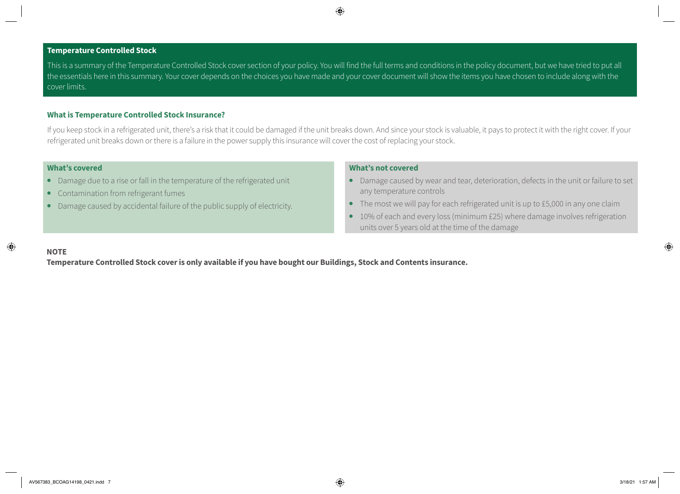#### **Temperature Controlled Stock**

This is a summary of the Temperature Controlled Stock cover section of your policy. You will find the full terms and conditions in the policy document, but we have tried to put all the essentials here in this summary. Your cover depends on the choices you have made and your cover document will show the items you have chosen to include along with the cover limits.

#### **What is Temperature Controlled Stock Insurance?**

If you keep stock in a refrigerated unit, there's a risk that it could be damaged if the unit breaks down. And since your stock is valuable, it pays to protect it with the right cover. If your refrigerated unit breaks down or there is a failure in the power supply this insurance will cover the cost of replacing your stock.

#### **What's covered**

- Damage due to a rise or fall in the temperature of the refrigerated unit
- Contamination from refrigerant fumes
- Damage caused by accidental failure of the public supply of electricity.

#### **What's not covered**

- Damage caused by wear and tear, deterioration, defects in the unit or failure to set any temperature controls
- The most we will pay for each refrigerated unit is up to £5,000 in any one claim
- 10% of each and every loss (minimum £25) where damage involves refrigeration units over 5 years old at the time of the damage

#### **NOTE**

**Temperature Controlled Stock cover is only available if you have bought our Buildings, Stock and Contents insurance.**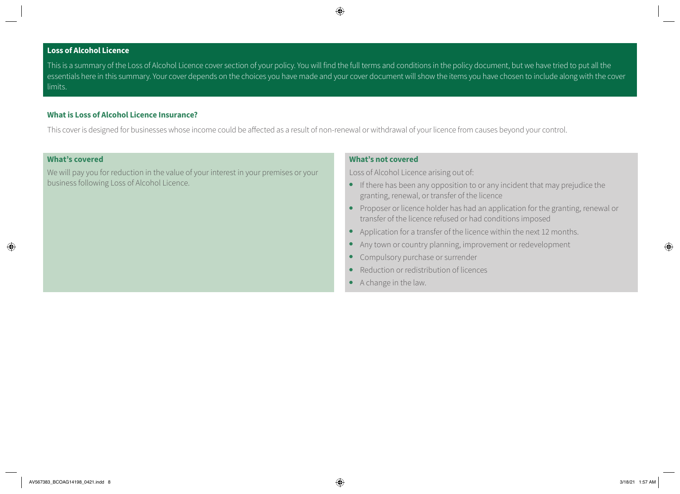## **Loss of Alcohol Licence**

This is a summary of the Loss of Alcohol Licence cover section of your policy. You will find the full terms and conditions in the policy document, but we have tried to put all the essentials here in this summary. Your cover depends on the choices you have made and your cover document will show the items you have chosen to include along with the cover limits.

### **What is Loss of Alcohol Licence Insurance?**

This cover is designed for businesses whose income could be affected as a result of non-renewal or withdrawal of your licence from causes beyond your control.

#### **What's covered**

We will pay you for reduction in the value of your interest in your premises or your business following Loss of Alcohol Licence.

## **What's not covered**

Loss of Alcohol Licence arising out of:

- If there has been any opposition to or any incident that may prejudice the granting, renewal, or transfer of the licence
- Proposer or licence holder has had an application for the granting, renewal or transfer of the licence refused or had conditions imposed
- Application for a transfer of the licence within the next 12 months.
- Any town or country planning, improvement or redevelopment
- Compulsory purchase or surrender
- Reduction or redistribution of licences
- A change in the law.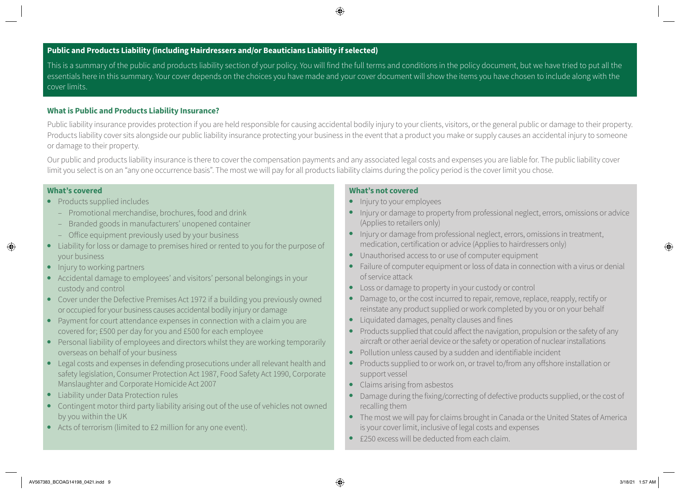# **Public and Products Liability (including Hairdressers and/or Beauticians Liability if selected)**

This is a summary of the public and products liability section of your policy. You will find the full terms and conditions in the policy document, but we have tried to put all the essentials here in this summary. Your cover depends on the choices you have made and your cover document will show the items you have chosen to include along with the cover limits.

## **What is Public and Products Liability Insurance?**

Public liability insurance provides protection if you are held responsible for causing accidental bodily injury to your clients, visitors, or the general public or damage to their property. Products liability cover sits alongside our public liability insurance protecting your business in the event that a product you make or supply causes an accidental injury to someone or damage to their property.

Our public and products liability insurance is there to cover the compensation payments and any associated legal costs and expenses you are liable for. The public liability cover limit you select is on an "any one occurrence basis". The most we will pay for all products liability claims during the policy period is the cover limit you chose.

### **What's covered**

- Products supplied includes
	- Promotional merchandise, brochures, food and drink
	- Branded goods in manufacturers' unopened container
	- Office equipment previously used by your business
- Liability for loss or damage to premises hired or rented to you for the purpose of your business
- Injury to working partners
- Accidental damage to employees' and visitors' personal belongings in your custody and control
- Cover under the Defective Premises Act 1972 if a building you previously owned or occupied for your business causes accidental bodily injury or damage
- Payment for court attendance expenses in connection with a claim you are covered for; £500 per day for you and £500 for each employee
- Personal liability of employees and directors whilst they are working temporarily overseas on behalf of your business
- Legal costs and expenses in defending prosecutions under all relevant health and safety legislation, Consumer Protection Act 1987, Food Safety Act 1990, Corporate Manslaughter and Corporate Homicide Act 2007
- Liability under Data Protection rules
- Contingent motor third party liability arising out of the use of vehicles not owned by you within the UK
- Acts of terrorism (limited to £2 million for any one event).

- Injury to your employees
- Injury or damage to property from professional neglect, errors, omissions or advice (Applies to retailers only)
- Injury or damage from professional neglect, errors, omissions in treatment, medication, certification or advice (Applies to hairdressers only)
- Unauthorised access to or use of computer equipment
- Failure of computer equipment or loss of data in connection with a virus or denial of service attack
- Loss or damage to property in your custody or control
- Damage to, or the cost incurred to repair, remove, replace, reapply, rectify or reinstate any product supplied or work completed by you or on your behalf
- Liquidated damages, penalty clauses and fines
- Products supplied that could affect the navigation, propulsion or the safety of any aircraft or other aerial device or the safety or operation of nuclear installations
- Pollution unless caused by a sudden and identifiable incident
- Products supplied to or work on, or travel to/from any offshore installation or support vessel
- Claims arising from asbestos
- Damage during the fixing/correcting of defective products supplied, or the cost of recalling them
- The most we will pay for claims brought in Canada or the United States of America is your cover limit, inclusive of legal costs and expenses
- £250 excess will be deducted from each claim.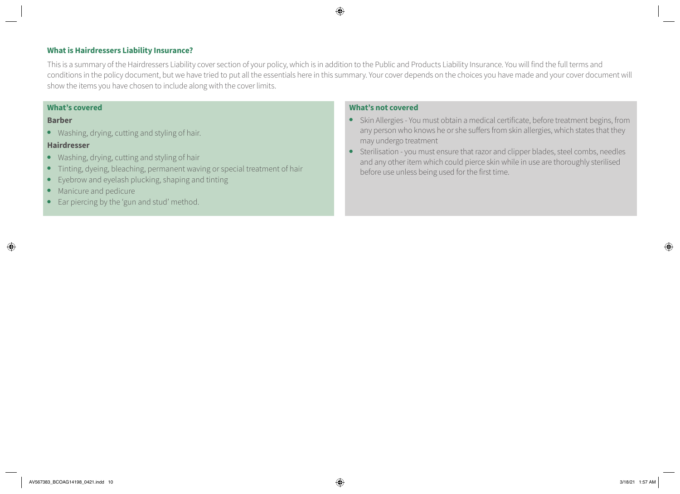## **What is Hairdressers Liability Insurance?**

This is a summary of the Hairdressers Liability cover section of your policy, which is in addition to the Public and Products Liability Insurance. You will find the full terms and conditions in the policy document, but we have tried to put all the essentials here in this summary. Your cover depends on the choices you have made and your cover document will show the items you have chosen to include along with the cover limits.

#### **What's covered**

#### **Barber**

● Washing, drying, cutting and styling of hair.

## **Hairdresser**

- Washing, drying, cutting and styling of hair
- Tinting, dyeing, bleaching, permanent waving or special treatment of hair
- Eyebrow and eyelash plucking, shaping and tinting
- Manicure and pedicure
- Ear piercing by the 'gun and stud' method.

- Skin Allergies You must obtain a medical certificate, before treatment begins, from any person who knows he or she suffers from skin allergies, which states that they may undergo treatment
- Sterilisation you must ensure that razor and clipper blades, steel combs, needles and any other item which could pierce skin while in use are thoroughly sterilised before use unless being used for the first time.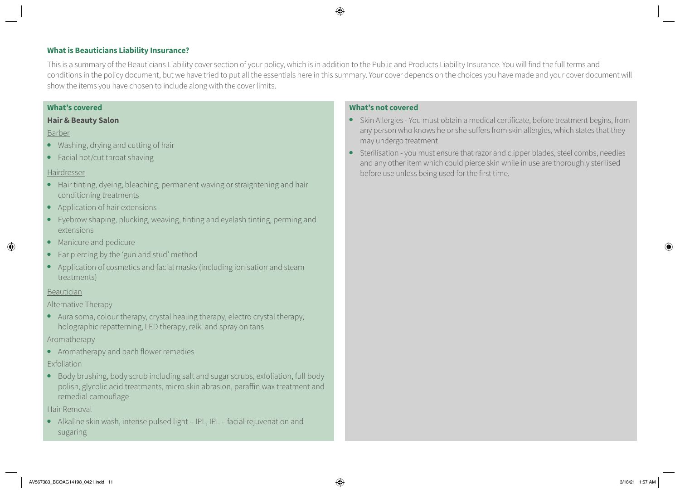## **What is Beauticians Liability Insurance?**

This is a summary of the Beauticians Liability cover section of your policy, which is in addition to the Public and Products Liability Insurance. You will find the full terms and conditions in the policy document, but we have tried to put all the essentials here in this summary. Your cover depends on the choices you have made and your cover document will show the items you have chosen to include along with the cover limits.

## **What's covered**

#### **Hair & Beauty Salon**

## Barber

- Washing, drying and cutting of hair
- Facial hot/cut throat shaving

## Hairdresser

- Hair tinting, dyeing, bleaching, permanent waving or straightening and hair conditioning treatments
- Application of hair extensions
- Eyebrow shaping, plucking, weaving, tinting and eyelash tinting, perming and extensions
- Manicure and pedicure
- Ear piercing by the 'gun and stud' method
- Application of cosmetics and facial masks (including ionisation and steam treatments)

#### Beautician

## Alternative Therapy

● Aura soma, colour therapy, crystal healing therapy, electro crystal therapy, holographic repatterning, LED therapy, reiki and spray on tans

## Aromatherapy

● Aromatherapy and bach flower remedies

## Exfoliation

● Body brushing, body scrub including salt and sugar scrubs, exfoliation, full body polish, glycolic acid treatments, micro skin abrasion, paraffin wax treatment and remedial camouflage

## Hair Removal

● Alkaline skin wash, intense pulsed light – IPL, IPL – facial rejuvenation and sugaring

- Skin Allergies You must obtain a medical certificate, before treatment begins, from any person who knows he or she suffers from skin allergies, which states that they may undergo treatment
- Sterilisation you must ensure that razor and clipper blades, steel combs, needles and any other item which could pierce skin while in use are thoroughly sterilised before use unless being used for the first time.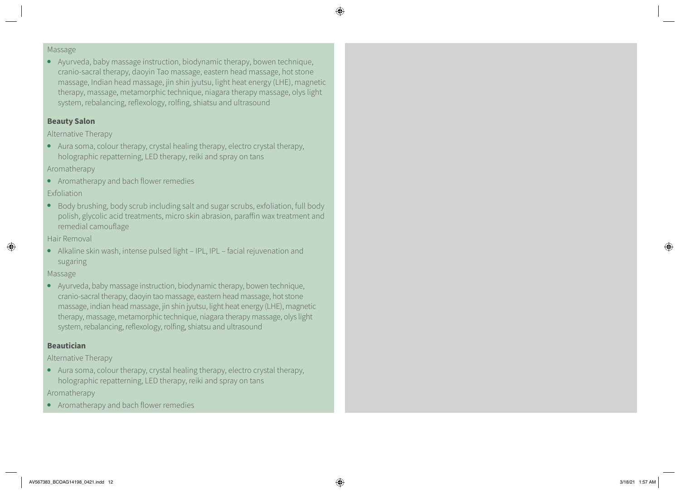#### Massage

● Ayurveda, baby massage instruction, biodynamic therapy, bowen technique, cranio-sacral therapy, daoyin Tao massage, eastern head massage, hot stone massage, Indian head massage, jin shin jyutsu, light heat energy (LHE), magnetic therapy, massage, metamorphic technique, niagara therapy massage, olys light system, rebalancing, reflexology, rolfing, shiatsu and ultrasound

## **Beauty Salon**

Alternative Therapy

● Aura soma, colour therapy, crystal healing therapy, electro crystal therapy, holographic repatterning, LED therapy, reiki and spray on tans

Aromatherapy

● Aromatherapy and bach flower remedies

Exfoliation

● Body brushing, body scrub including salt and sugar scrubs, exfoliation, full body polish, glycolic acid treatments, micro skin abrasion, paraffin wax treatment and remedial camouflage

Hair Removal

● Alkaline skin wash, intense pulsed light – IPL, IPL – facial rejuvenation and sugaring

Massage

● Ayurveda, baby massage instruction, biodynamic therapy, bowen technique, cranio-sacral therapy, daoyin tao massage, eastern head massage, hot stone massage, indian head massage, jin shin jyutsu, light heat energy (LHE), magnetic therapy, massage, metamorphic technique, niagara therapy massage, olys light system, rebalancing, reflexology, rolfing, shiatsu and ultrasound

# **Beautician**

Alternative Therapy

- Aura soma, colour therapy, crystal healing therapy, electro crystal therapy, holographic repatterning, LED therapy, reiki and spray on tans Aromatherapy
- Aromatherapy and bach flower remedies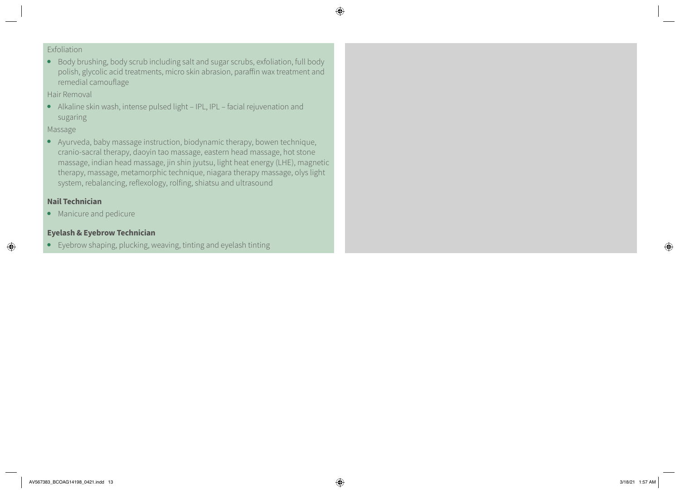# Exfoliation

● Body brushing, body scrub including salt and sugar scrubs, exfoliation, full body polish, glycolic acid treatments, micro skin abrasion, paraffin wax treatment and remedial camouflage

# Hair Removal

● Alkaline skin wash, intense pulsed light – IPL, IPL – facial rejuvenation and sugaring

# Massage

● Ayurveda, baby massage instruction, biodynamic therapy, bowen technique, cranio-sacral therapy, daoyin tao massage, eastern head massage, hot stone massage, indian head massage, jin shin jyutsu, light heat energy (LHE), magnetic therapy, massage, metamorphic technique, niagara therapy massage, olys light system, rebalancing, reflexology, rolfing, shiatsu and ultrasound

# **Nail Technician**

● Manicure and pedicure

# **Eyelash & Eyebrow Technician**

● Eyebrow shaping, plucking, weaving, tinting and eyelash tinting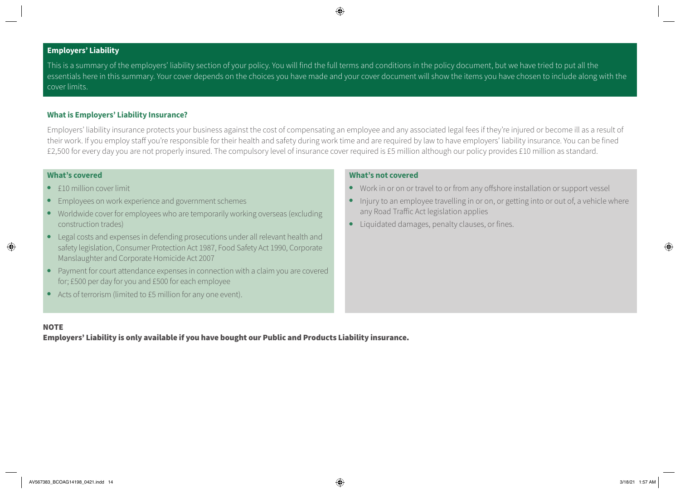# **Employers' Liability**

This is a summary of the employers' liability section of your policy. You will find the full terms and conditions in the policy document, but we have tried to put all the essentials here in this summary. Your cover depends on the choices you have made and your cover document will show the items you have chosen to include along with the cover limits.

## **What is Employers' Liability Insurance?**

Employers' liability insurance protects your business against the cost of compensating an employee and any associated legal fees if they're injured or become ill as a result of their work. If you employ staff you're responsible for their health and safety during work time and are required by law to have employers' liability insurance. You can be fined £2,500 for every day you are not properly insured. The compulsory level of insurance cover required is £5 million although our policy provides £10 million as standard.

### **What's covered**

- £10 million cover limit
- Employees on work experience and government schemes
- Worldwide cover for employees who are temporarily working overseas (excluding construction trades)
- Legal costs and expenses in defending prosecutions under all relevant health and safety legislation, Consumer Protection Act 1987, Food Safety Act 1990, Corporate Manslaughter and Corporate Homicide Act 2007
- Payment for court attendance expenses in connection with a claim you are covered for; £500 per day for you and £500 for each employee
- Acts of terrorism (limited to £5 million for any one event).

### **What's not covered**

- Work in or on or travel to or from any offshore installation or support vessel
- Injury to an employee travelling in or on, or getting into or out of, a vehicle where any Road Traffic Act legislation applies
- Liquidated damages, penalty clauses, or fines.

#### **NOTE**

Employers' Liability is only available if you have bought our Public and Products Liability insurance.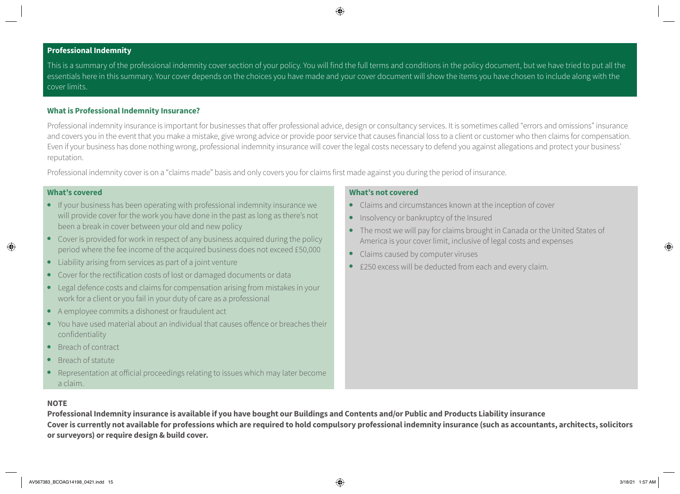### **Professional Indemnity**

This is a summary of the professional indemnity cover section of your policy. You will find the full terms and conditions in the policy document, but we have tried to put all the essentials here in this summary. Your cover depends on the choices you have made and your cover document will show the items you have chosen to include along with the cover limits.

#### **What is Professional Indemnity Insurance?**

Professional indemnity insurance is important for businesses that offer professional advice, design or consultancy services. It is sometimes called "errors and omissions" insurance and covers you in the event that you make a mistake, give wrong advice or provide poor service that causes financial loss to a client or customer who then claims for compensation. Even if your business has done nothing wrong, professional indemnity insurance will cover the legal costs necessary to defend you against allegations and protect your business' reputation.

Professional indemnity cover is on a "claims made" basis and only covers you for claims first made against you during the period of insurance.

#### **What's covered**

- If your business has been operating with professional indemnity insurance we will provide cover for the work you have done in the past as long as there's not been a break in cover between your old and new policy
- Cover is provided for work in respect of any business acquired during the policy period where the fee income of the acquired business does not exceed £50,000
- Liability arising from services as part of a joint venture
- Cover for the rectification costs of lost or damaged documents or data
- Legal defence costs and claims for compensation arising from mistakes in your work for a client or you fail in your duty of care as a professional
- A employee commits a dishonest or fraudulent act
- You have used material about an individual that causes offence or breaches their confidentiality
- Breach of contract
- Breach of statute
- Representation at official proceedings relating to issues which may later become a claim.

## **What's not covered**

- Claims and circumstances known at the inception of cover
- Insolvency or bankruptcy of the Insured
- The most we will pay for claims brought in Canada or the United States of America is your cover limit, inclusive of legal costs and expenses
- Claims caused by computer viruses
- £250 excess will be deducted from each and every claim.

#### **NOTE**

**Professional Indemnity insurance is available if you have bought our Buildings and Contents and/or Public and Products Liability insurance Cover is currently not available for professions which are required to hold compulsory professional indemnity insurance (such as accountants, architects, solicitors or surveyors) or require design & build cover.**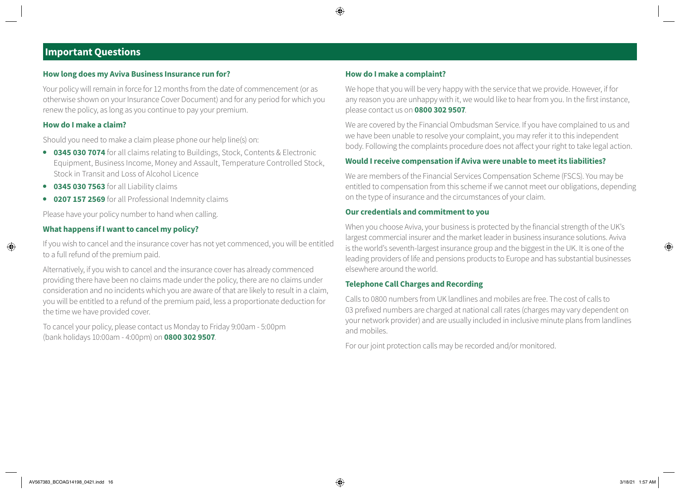# **Important Questions**

### **How long does my Aviva Business Insurance run for?**

Your policy will remain in force for 12 months from the date of commencement (or as otherwise shown on your Insurance Cover Document) and for any period for which you renew the policy, as long as you continue to pay your premium.

#### **How do I make a claim?**

Should you need to make a claim please phone our help line(s) on:

- **0345 030 7074** for all claims relating to Buildings, Stock, Contents & Electronic Equipment, Business Income, Money and Assault, Temperature Controlled Stock, Stock in Transit and Loss of Alcohol Licence
- **0345 030 7563** for all Liability claims
- **0207 157 2569** for all Professional Indemnity claims

Please have your policy number to hand when calling.

## **What happens if I want to cancel my policy?**

If you wish to cancel and the insurance cover has not yet commenced, you will be entitled to a full refund of the premium paid.

Alternatively, if you wish to cancel and the insurance cover has already commenced providing there have been no claims made under the policy, there are no claims under consideration and no incidents which you are aware of that are likely to result in a claim, you will be entitled to a refund of the premium paid, less a proportionate deduction for the time we have provided cover.

To cancel your policy, please contact us Monday to Friday 9:00am - 5:00pm (bank holidays 10:00am - 4:00pm) on **0800 302 9507**.

#### **How do I make a complaint?**

We hope that you will be very happy with the service that we provide. However, if for any reason you are unhappy with it, we would like to hear from you. In the first instance, please contact us on **0800 302 9507**.

We are covered by the Financial Ombudsman Service. If you have complained to us and we have been unable to resolve your complaint, you may refer it to this independent body. Following the complaints procedure does not affect your right to take legal action.

## **Would I receive compensation if Aviva were unable to meet its liabilities?**

We are members of the Financial Services Compensation Scheme (FSCS). You may be entitled to compensation from this scheme if we cannot meet our obligations, depending on the type of insurance and the circumstances of your claim.

## **Our credentials and commitment to you**

When you choose Aviva, your business is protected by the financial strength of the UK's largest commercial insurer and the market leader in business insurance solutions. Aviva is the world's seventh-largest insurance group and the biggest in the UK. It is one of the leading providers of life and pensions products to Europe and has substantial businesses elsewhere around the world.

## **Telephone Call Charges and Recording**

Calls to 0800 numbers from UK landlines and mobiles are free. The cost of calls to 03 prefixed numbers are charged at national call rates (charges may vary dependent on your network provider) and are usually included in inclusive minute plans from landlines and mobiles.

For our joint protection calls may be recorded and/or monitored.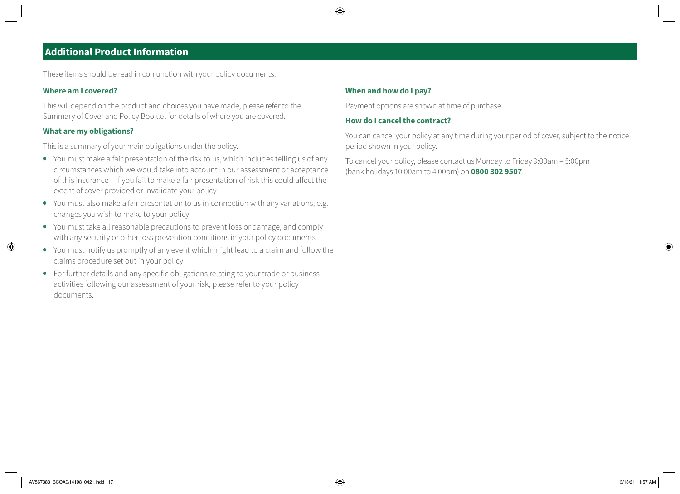# **Additional Product Information**

These items should be read in conjunction with your policy documents.

## **Where am I covered?**

This will depend on the product and choices you have made, please refer to the Summary of Cover and Policy Booklet for details of where you are covered.

## **What are my obligations?**

This is a summary of your main obligations under the policy.

- You must make a fair presentation of the risk to us, which includes telling us of any circumstances which we would take into account in our assessment or acceptance of this insurance – If you fail to make a fair presentation of risk this could affect the extent of cover provided or invalidate your policy
- You must also make a fair presentation to us in connection with any variations, e.g. changes you wish to make to your policy
- You must take all reasonable precautions to prevent loss or damage, and comply with any security or other loss prevention conditions in your policy documents
- You must notify us promptly of any event which might lead to a claim and follow the claims procedure set out in your policy
- For further details and any specific obligations relating to your trade or business activities following our assessment of your risk, please refer to your policy documents.

## **When and how do I pay?**

Payment options are shown at time of purchase.

## **How do I cancel the contract?**

You can cancel your policy at any time during your period of cover, subject to the notice period shown in your policy.

To cancel your policy, please contact us Monday to Friday 9:00am – 5:00pm (bank holidays 10:00am to 4:00pm) on **0800 302 9507**.